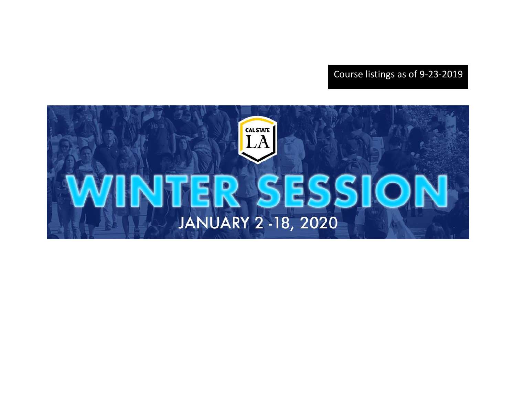Course listings as of 9-23-2019

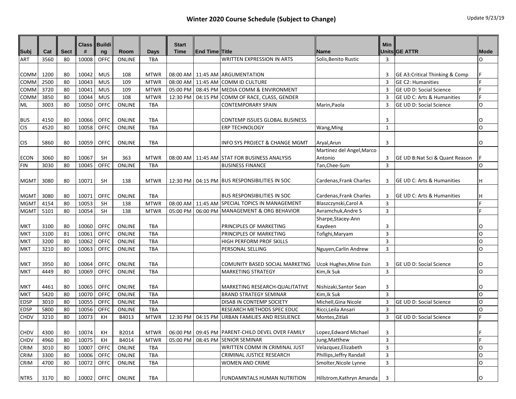| Subj        | Cat  | <b>Sect</b> | #     | Class    Buildi<br>ng | Room          | Days        | <b>Start</b><br><b>Time</b> | <b>End Time Title</b> |                                                      | <b>Name</b>               | <b>Min</b>     | Units GE ATTR                         | <b>Mode</b>  |
|-------------|------|-------------|-------|-----------------------|---------------|-------------|-----------------------------|-----------------------|------------------------------------------------------|---------------------------|----------------|---------------------------------------|--------------|
| <b>ART</b>  | 3560 | 80          | 10008 | OFFC                  | <b>ONLINE</b> | <b>TBA</b>  |                             |                       | <b>WRITTEN EXPRESSION IN ARTS</b>                    | Solis, Benito Rustic      | 3              |                                       | <sup>o</sup> |
|             |      |             |       |                       |               |             |                             |                       |                                                      |                           |                |                                       |              |
| COMM        | 1200 | 80          | 10042 | <b>MUS</b>            | 108           | <b>MTWR</b> |                             |                       | 08:00 AM   11:45 AM   ARGUMENTATION                  |                           | 3              | GE A3: Critical Thinking & Comp       | F            |
| COMM        | 2500 | 80          | 10043 | <b>MUS</b>            | 109           | <b>MTWR</b> | 08:00 AM                    |                       | 11:45 AM COMM ID CULTURE                             |                           | 3              | <b>GE C2: Humanities</b>              | E            |
| COMM        | 3720 | 80          | 10041 | <b>MUS</b>            | 109           | <b>MTWR</b> | 05:00 PM                    |                       | 08:45 PM MEDIA COMM & ENVIRONMENT                    |                           | 3              | GE UD D: Social Science               |              |
| COMM        | 3850 | 80          | 10044 | <b>MUS</b>            | 108           | <b>MTWR</b> | 12:30 PM                    |                       | 04:15 PM COMM OF RACE, CLASS, GENDER                 |                           | 3              | GE UD C: Arts & Humanities            |              |
| ML          | 3003 | 80          | 10050 | OFFC                  | ONLINE        | <b>TBA</b>  |                             |                       | <b>CONTEMPORARY SPAIN</b>                            | Marin, Paola              | 3              | <b>GE UD D: Social Science</b>        | O            |
| <b>BUS</b>  | 4150 | 80          | 10066 | <b>OFFC</b>           | <b>ONLINE</b> | <b>TBA</b>  |                             |                       | CONTEMP ISSUES GLOBAL BUSINESS                       |                           | 3              |                                       | O            |
| <b>CIS</b>  | 4520 | 80          | 10058 | OFFC                  | ONLINE        | <b>TBA</b>  |                             |                       | <b>ERP TECHNOLOGY</b>                                | Wang, Ming                | $\mathbf{1}$   |                                       | $\Omega$     |
| <b>CIS</b>  | 5860 | 80          | 10059 | <b>OFFC</b>           | <b>ONLINE</b> | <b>TBA</b>  |                             |                       | INFO SYS PROJECT & CHANGE MGMT                       | Aryal, Arun               | 3              |                                       | O            |
|             |      |             |       |                       |               |             |                             |                       |                                                      | Martinez del Angel, Marco |                |                                       |              |
| ECON        | 3060 | 80          | 10067 | <b>SH</b>             | 363           | <b>MTWR</b> |                             |                       | 08:00 AM   11:45 AM STAT FOR BUSINESS ANALYSIS       | Antonio                   | 3              | GE UD B:Nat Sci & Quant Reason        |              |
| FIN         | 3030 | 80          | 10045 | OFFC                  | ONLINE        | <b>TBA</b>  |                             |                       | <b>BUSINESS FINANCE</b>                              | Tan, Chee-Sum             | $\overline{3}$ |                                       | $\Omega$     |
| <b>MGMT</b> | 3080 | 80          | 10071 | <b>SH</b>             | 138           | <b>MTWR</b> |                             |                       | 12:30 PM   04:15 PM   BUS RESPONSIBILITIES IN SOC    | Cardenas.Frank Charles    | 3              | <b>GE UD C: Arts &amp; Humanities</b> | н            |
| MGMT        | 3080 | 80          | 10071 | <b>OFFC</b>           | <b>ONLINE</b> | <b>TBA</b>  |                             |                       | <b>BUS RESPONSIBILITIES IN SOC</b>                   | Cardenas, Frank Charles   | 3              | GE UD C: Arts & Humanities            | Η            |
| MGMT        | 4154 | 80          | 10053 | <b>SH</b>             | 138           | <b>MTWR</b> |                             |                       | 08:00 AM   11:45 AM   SPECIAL TOPICS IN MANAGEMENT   | Blaszczynski, Carol A     | 3              |                                       | E            |
| <b>MGMT</b> | 5101 | 80          | 10054 | <b>SH</b>             | 138           | <b>MTWR</b> | 05:00 PM                    |                       | 06:00 PM MANAGEMENT & ORG BEHAVIOR                   | Avramchuk, Andre S        | $\overline{3}$ |                                       | E            |
|             |      |             |       |                       |               |             |                             |                       |                                                      | Sharpe, Stacey-Ann        |                |                                       |              |
| MKT         | 3100 | 80          | 10060 | OFFC                  | ONLINE        | <b>TBA</b>  |                             |                       | PRINCIPLES OF MARKETING                              | Kaydeen                   | 3              |                                       | O            |
| MKT         | 3100 | 81          | 10061 | OFFC                  | ONLINE        | <b>TBA</b>  |                             |                       | PRINCIPLES OF MARKETING                              | Tofighi, Maryam           | $\overline{3}$ |                                       | O            |
| MKT         | 3200 | 80          | 10062 | OFFC                  | ONLINE        | TBA         |                             |                       | HIGH PERFORM PROF SKILLS                             |                           | $\overline{3}$ |                                       | $\Omega$     |
| <b>MKT</b>  | 3210 | 80          | 10063 | OFFC                  | ONLINE        | TBA         |                             |                       | PERSONAL SELLING                                     | Nguyen, Carlin Andrew     | $\overline{3}$ |                                       | O            |
| мкт         | 3950 | 80          | 10064 | <b>OFFC</b>           | <b>ONLINE</b> | <b>TBA</b>  |                             |                       | COMUNITY BASED SOCIAL MARKETNG                       | Ucok Hughes, Mine Esin    | 3              | <b>GE UD D: Social Science</b>        | O            |
| MKT         | 4449 | 80          | 10069 | OFFC                  | <b>ONLINE</b> | <b>TBA</b>  |                             |                       | <b>MARKETING STRATEGY</b>                            | Kim, Ik Suk               | 3              |                                       | $\Omega$     |
| мкт         | 4461 | 80          | 10065 | <b>OFFC</b>           | ONLINE        | <b>TBA</b>  |                             |                       | MARKETING RESEARCH-QUALITATIVE                       | Nishizaki, Santor Sean    | 3              |                                       | O            |
| MKT         | 5420 | 80          | 10070 | OFFC                  | ONLINE        | <b>TBA</b>  |                             |                       | <b>BRAND STRATEGY SEMINAR</b>                        | Kim, Ik Suk               | $\overline{3}$ |                                       | O            |
| EDSP        | 3010 | 80          | 10055 | OFFC                  | <b>ONLINE</b> | <b>TBA</b>  |                             |                       | DISAB IN CONTEMP SOCIETY                             | Michell, Gina Nicole      | 3              | <b>GE UD D: Social Science</b>        | O            |
| <b>EDSP</b> | 5800 | 80          | 10056 | OFFC                  | ONLINE        | TBA         |                             |                       | RESEARCH METHODS SPEC EDUC                           | Ricci, Leila Ansari       | $\overline{3}$ |                                       | $\Omega$     |
| CHDV        | 3210 | 80          | 10073 | KH                    | B4013         | <b>MTWR</b> | 12:30 PM                    | 04:15 PM              | URBAN FAMILIES AND RESILIENCE                        | Montes, Zitlali           | $\overline{3}$ | <b>GE UD D: Social Science</b>        |              |
| CHDV        | 4300 | 80          | 10074 | KH                    | B2014         | <b>MTWR</b> |                             |                       | 06:00 PM   09:45 PM   PARENT-CHILD DEVEL OVER FAMILY | Lopez, Edward Michael     | 3              |                                       | F            |
| <b>CHDV</b> | 4960 | 80          | 10075 | KH                    | B4014         | <b>MTWR</b> |                             |                       | 05:00 PM 08:45 PM SENIOR SEMINAR                     | Jung, Matthew             | $\overline{3}$ |                                       | E            |
| <b>CRIM</b> | 3010 | 80          | 10007 | OFFC                  | ONLINE        | <b>TBA</b>  |                             |                       | WRITTEN COMM IN CRIMINAL JUST                        | Velazquez, Elizabeth      | $\overline{3}$ |                                       | O            |
| <b>CRIM</b> | 3300 | 80          | 10006 | OFFC                  | ONLINE        | <b>TBA</b>  |                             |                       | CRIMINAL JUSTICE RESEARCH                            | Phillips, Jeffry Randall  | 3              |                                       | O            |
| CRIM        | 4700 | 80          | 10072 | OFFC                  | ONLINE        | TBA         |                             |                       | WOMEN AND CRIME                                      | Smolter, Nicole Lynne     | $\overline{3}$ |                                       | O            |
| <b>NTRS</b> | 3170 | 80          |       | 10002 OFFC            | ONLINE        | TBA         |                             |                       | FUNDAMNTALS HUMAN NUTRITION                          | Hillstrom, Kathryn Amanda | 3              |                                       | 0            |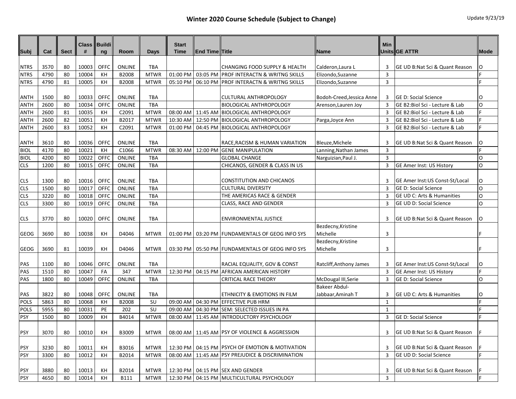| Subj        | Cat  | <b>Sect</b> | <b>Class</b><br># | <b>Buildi</b><br>ng | Room          | Days        | <b>Start</b><br><b>Time</b> | <b>End Time Title</b> |                                                      | Name                      | <b>Min</b>     | Units GE ATTR                   | Mode     |
|-------------|------|-------------|-------------------|---------------------|---------------|-------------|-----------------------------|-----------------------|------------------------------------------------------|---------------------------|----------------|---------------------------------|----------|
|             |      |             |                   |                     |               |             |                             |                       |                                                      |                           |                |                                 |          |
| <b>NTRS</b> | 3570 | 80          | 10003             | <b>OFFC</b>         | ONLINE        | <b>TBA</b>  |                             |                       | <b>CHANGING FOOD SUPPLY &amp; HEALTH</b>             | Calderon, Laura L         | 3              | GE UD B:Nat Sci & Quant Reason  | 0        |
| <b>NTRS</b> | 4790 | 80          | 10004             | KH                  | B2008         | <b>MTWR</b> | 01:00 PM                    |                       | 03:05 PM PROF INTERACTN & WRITNG SKILLS              | Elizondo, Suzanne         | $\overline{3}$ |                                 | F        |
| <b>NTRS</b> | 4790 | 81          | 10005             | KH                  | B2008         | <b>MTWR</b> |                             |                       | 05:10 PM   06:10 PM   PROF INTERACTN & WRITNG SKILLS | Elizondo, Suzanne         | 3              |                                 | F        |
|             |      |             |                   |                     |               |             |                             |                       |                                                      |                           |                |                                 |          |
| <b>ANTH</b> | 1500 | 80          | 10033             | <b>OFFC</b>         | ONLINE        | <b>TBA</b>  |                             |                       | <b>CULTURAL ANTHROPOLOGY</b>                         | Bodoh-Creed, Jessica Anne | 3              | <b>GE D: Social Science</b>     | O        |
| <b>ANTH</b> | 2600 | 80          | 10034             | OFFC                | ONLINE        | <b>TBA</b>  |                             |                       | <b>BIOLOGICAL ANTHROPOLOGY</b>                       | Arenson, Lauren Joy       | 3              | GE B2:Biol Sci - Lecture & Lab  | O        |
| <b>ANTH</b> | 2600 | 81          | 10035             | KH                  | C2091         | <b>MTWR</b> | 08:00 AM                    |                       | 11:45 AM BIOLOGICAL ANTHROPOLOGY                     |                           | 3              | GE B2:Biol Sci - Lecture & Lab  | F        |
| <b>ANTH</b> | 2600 | 82          | 10051             | KH                  | B2017         | <b>MTWR</b> | 10:30 AM                    |                       | 12:50 PM BIOLOGICAL ANTHROPOLOGY                     | Parga, Joyce Ann          | 3              | GE B2:Biol Sci - Lecture & Lab  | F        |
| <b>ANTH</b> | 2600 | 83          | 10052             | KH                  | C2091         | <b>MTWR</b> | 01:00 PM                    |                       | 04:45 PM BIOLOGICAL ANTHROPOLOGY                     |                           | $\overline{3}$ | GE B2:Biol Sci - Lecture & Lab  | F        |
|             |      |             |                   |                     |               |             |                             |                       |                                                      |                           |                |                                 |          |
| <b>ANTH</b> | 3610 | 80          | 10036             | <b>OFFC</b>         | <b>ONLINE</b> | <b>TBA</b>  |                             |                       | RACE, RACISM & HUMAN VARIATION                       | Bleuze, Michele           | 3              | GE UD B:Nat Sci & Quant Reason  | 0        |
| <b>BIOL</b> | 4170 | 80          | 10021             | KH                  | C1066         | <b>MTWR</b> | 08:30 AM                    |                       | 12:00 PM GENE MANIPULATION                           | Lanning, Nathan James     | 3              |                                 | l F      |
| <b>BIOL</b> | 4200 | 80          | 10022             | OFFC                | <b>ONLINE</b> | <b>TBA</b>  |                             |                       | <b>GLOBAL CHANGE</b>                                 | Narguizian, Paul J.       | $\overline{3}$ |                                 | O        |
| <b>CLS</b>  | 1200 | 80          | 10015             | OFFC                | ONLINE        | <b>TBA</b>  |                             |                       | CHICANOS, GENDER & CLASS IN US                       |                           | 3              | GE Amer Inst: US History        | O        |
|             |      |             |                   |                     |               |             |                             |                       |                                                      |                           |                |                                 |          |
| <b>CLS</b>  | 1300 | 80          | 10016             | <b>OFFC</b>         | ONLINE        | <b>TBA</b>  |                             |                       | <b>CONSTITUTION AND CHICANOS</b>                     |                           | 3              | GE Amer Inst:US Const-St/Local  | O        |
| <b>CLS</b>  | 1500 | 80          | 10017             | OFFC                | <b>ONLINE</b> | <b>TBA</b>  |                             |                       | <b>CULTURAL DIVERSITY</b>                            |                           | $\overline{3}$ | <b>GE D: Social Science</b>     | O        |
| <b>CLS</b>  | 3220 | 80          | 10018             | <b>OFFC</b>         | ONLINE        | <b>TBA</b>  |                             |                       | THE AMERICAS RACE & GENDER                           |                           | $\overline{3}$ | GE UD C: Arts & Humanities      | <b>O</b> |
| <b>CLS</b>  | 3300 | 80          | 10019             | <b>OFFC</b>         | ONLINE        | <b>TBA</b>  |                             |                       | CLASS, RACE AND GENDER                               |                           | 3              | GE UD D: Social Science         | O        |
|             |      |             |                   |                     |               |             |                             |                       |                                                      |                           |                |                                 |          |
| <b>CLS</b>  | 3770 | 80          | 10020             | <b>OFFC</b>         | <b>ONLINE</b> | <b>TBA</b>  |                             |                       | <b>ENVIRONMENTAL JUSTICE</b>                         |                           | 3              | GE UD B:Nat Sci & Quant Reason  | O        |
|             |      |             |                   |                     |               |             |                             |                       |                                                      | Bezdecny, Kristine        |                |                                 |          |
| <b>GEOG</b> | 3690 | 80          | 10038             | KH                  | D4046         | <b>MTWR</b> | 01:00 PM                    |                       | 03:20 PM FUNDAMENTALS OF GEOG INFO SYS               | Michelle                  | 3              |                                 |          |
|             |      |             |                   |                     |               |             |                             |                       |                                                      | Bezdecny, Kristine        |                |                                 |          |
| <b>GEOG</b> | 3690 | 81          | 10039             | KH                  | D4046         | <b>MTWR</b> |                             |                       | 03:30 PM   05:50 PM   FUNDAMENTALS OF GEOG INFO SYS  | Michelle                  | 3              |                                 |          |
|             |      |             |                   |                     |               |             |                             |                       |                                                      |                           |                |                                 |          |
| PAS         | 1100 | 80          | 10046             | <b>OFFC</b>         | ONLINE        | <b>TBA</b>  |                             |                       | <b>RACIAL EQUALITY, GOV &amp; CONST</b>              | Ratcliff, Anthony James   | 3              | GE Amer Inst:US Const-St/Local  | O        |
| PAS         | 1510 | 80          | 10047             | FA                  | 347           | <b>MTWR</b> |                             |                       | 12:30 PM   04:15 PM   AFRICAN AMERICAN HISTORY       |                           | 3              | <b>GE Amer Inst: US History</b> | E        |
| PAS         | 1800 | 80          | 10049             | <b>OFFC</b>         | ONLINE        | <b>TBA</b>  |                             |                       | <b>CRITICAL RACE THEORY</b>                          | McDougal III, Serie       | 3              | <b>GE D: Social Science</b>     | O        |
|             |      |             |                   |                     |               |             |                             |                       |                                                      | <b>Bakeer Abdul-</b>      |                |                                 |          |
| PAS         | 3822 | 80          | 10048             | OFFC                | <b>ONLINE</b> | <b>TBA</b>  |                             |                       | ETHNICITY & EMOTIONS IN FILM                         | Jabbaar,Aminah T          | 3              | GE UD C: Arts & Humanities      | O        |
| <b>POLS</b> | 5863 | 80          | 10068             | KH                  | B2008         | <b>SU</b>   | 09:00 AM                    |                       | 04:30 PM EFFECTIVE PUB HRM                           |                           | 1              |                                 | F        |
| <b>POLS</b> | 5955 | 80          | 10031             | PE                  | 202           | <b>SU</b>   | 09:00 AM                    |                       | 04:30 PM SEM: SELECTED ISSUES IN PA                  |                           | $\mathbf{1}$   |                                 | F        |
| PSY         | 1500 | 80          | 10009             | KH                  | B4014         | <b>MTWR</b> | 08:00 AM                    | 11:45 AM              | <b>INTRODUCTORY PSYCHOLOGY</b>                       |                           | 3              | <b>GE D: Social Science</b>     | F        |
|             |      |             |                   |                     |               |             |                             |                       |                                                      |                           |                |                                 |          |
| <b>PSY</b>  | 3070 | 80          | 10010             | KH                  | B3009         | <b>MTWR</b> |                             |                       | 08:00 AM 11:45 AM PSY OF VIOLENCE & AGGRESSION       |                           | 3              | GE UD B:Nat Sci & Quant Reason  | IF       |
|             |      |             |                   |                     |               |             |                             |                       |                                                      |                           |                |                                 |          |
| <b>PSY</b>  | 3230 | 80          | 10011             | KH                  | B3016         | <b>MTWR</b> |                             |                       | 12:30 PM   04:15 PM   PSYCH OF EMOTION & MOTIVATION  |                           | 3              | GE UD B:Nat Sci & Quant Reason  |          |
| PSY         | 3300 | 80          | 10012             | KH                  | B2014         | <b>MTWR</b> |                             |                       | 08:00 AM   11:45 AM   PSY PREJUDICE & DISCRIMINATION |                           | 3              | GE UD D: Social Science         | F        |
|             |      |             |                   |                     |               |             |                             |                       |                                                      |                           |                |                                 |          |
| <b>PSY</b>  | 3880 | 80          | 10013             | KH                  | B2014         | <b>MTWR</b> |                             |                       | 12:30 PM   04:15 PM   SEX AND GENDER                 |                           | 3              | GE UD B:Nat Sci & Quant Reason  |          |
| PSY         | 4650 | 80          | 10014             | KH                  | <b>B111</b>   | <b>MTWR</b> |                             |                       | 12:30 PM   04:15 PM MULTICULTURAL PSYCHOLOGY         |                           | $\overline{3}$ |                                 | lF.      |